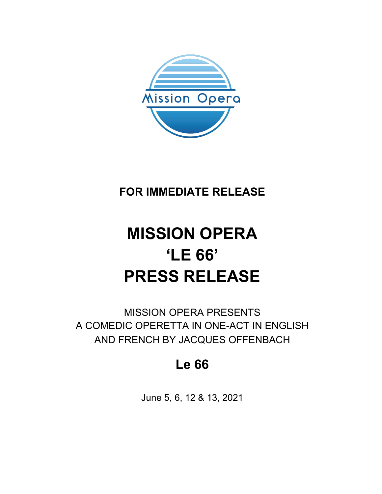

### **FOR IMMEDIATE RELEASE**

# **MISSION OPERA 'LE 66' PRESS RELEASE**

MISSION OPERA PRESENTS A COMEDIC OPERETTA IN ONE-ACT IN ENGLISH AND FRENCH BY JACQUES OFFENBACH

## **Le 66**

June 5, 6, 12 & 13, 2021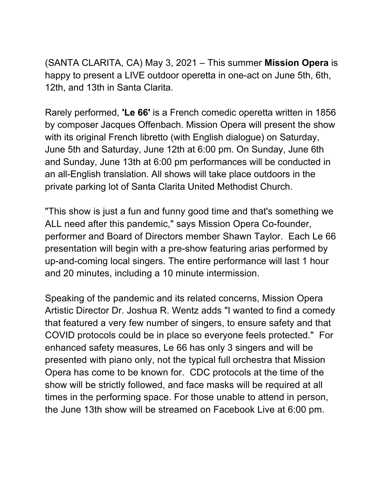(SANTA CLARITA, CA) May 3, 2021 – This summer **Mission Opera** is happy to present a LIVE outdoor operetta in one-act on June 5th, 6th, 12th, and 13th in Santa Clarita.

Rarely performed, **'Le 66'** is a French comedic operetta written in 1856 by composer Jacques Offenbach. Mission Opera will present the show with its original French libretto (with English dialogue) on Saturday, June 5th and Saturday, June 12th at 6:00 pm. On Sunday, June 6th and Sunday, June 13th at 6:00 pm performances will be conducted in an all-English translation. All shows will take place outdoors in the private parking lot of Santa Clarita United Methodist Church.

"This show is just a fun and funny good time and that's something we ALL need after this pandemic," says Mission Opera Co-founder, performer and Board of Directors member Shawn Taylor. Each Le 66 presentation will begin with a pre-show featuring arias performed by up-and-coming local singers. The entire performance will last 1 hour and 20 minutes, including a 10 minute intermission.

Speaking of the pandemic and its related concerns, Mission Opera Artistic Director Dr. Joshua R. Wentz adds "I wanted to find a comedy that featured a very few number of singers, to ensure safety and that COVID protocols could be in place so everyone feels protected." For enhanced safety measures, Le 66 has only 3 singers and will be presented with piano only, not the typical full orchestra that Mission Opera has come to be known for. CDC protocols at the time of the show will be strictly followed, and face masks will be required at all times in the performing space. For those unable to attend in person, the June 13th show will be streamed on Facebook Live at 6:00 pm.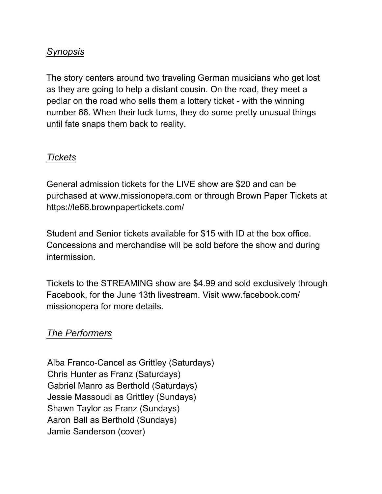#### *Synopsis*

The story centers around two traveling German musicians who get lost as they are going to help a distant cousin. On the road, they meet a pedlar on the road who sells them a lottery ticket - with the winning number 66. When their luck turns, they do some pretty unusual things until fate snaps them back to reality.

#### *Tickets*

General admission tickets for the LIVE show are \$20 and can be purchased at www.missionopera.com or through Brown Paper Tickets at https://le66.brownpapertickets.com/

Student and Senior tickets available for \$15 with ID at the box office. Concessions and merchandise will be sold before the show and during intermission.

Tickets to the STREAMING show are \$4.99 and sold exclusively through Facebook, for the June 13th livestream. Visit www.facebook.com/ missionopera for more details.

#### *The Performers*

Alba Franco-Cancel as Grittley (Saturdays) Chris Hunter as Franz (Saturdays) Gabriel Manro as Berthold (Saturdays) Jessie Massoudi as Grittley (Sundays) Shawn Taylor as Franz (Sundays) Aaron Ball as Berthold (Sundays) Jamie Sanderson (cover)